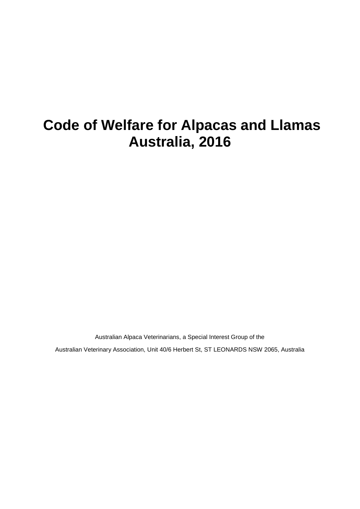# **Code of Welfare for Alpacas and Llamas Australia, 2016**

Australian Alpaca Veterinarians, a Special Interest Group of the

Australian Veterinary Association, Unit 40/6 Herbert St, ST LEONARDS NSW 2065, Australia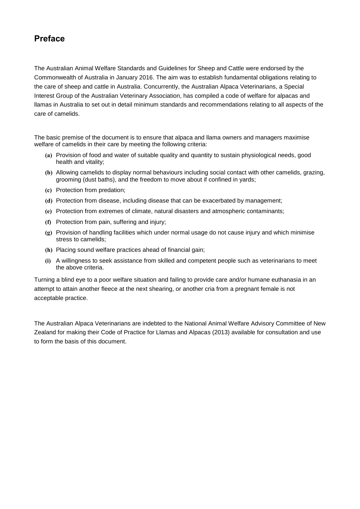## **Preface**

The Australian Animal Welfare Standards and Guidelines for Sheep and Cattle were endorsed by the Commonwealth of Australia in January 2016. The aim was to establish fundamental obligations relating to the care of sheep and cattle in Australia. Concurrently, the Australian Alpaca Veterinarians, a Special Interest Group of the Australian Veterinary Association, has compiled a code of welfare for alpacas and llamas in Australia to set out in detail minimum standards and recommendations relating to all aspects of the care of camelids.

The basic premise of the document is to ensure that alpaca and llama owners and managers maximise welfare of camelids in their care by meeting the following criteria:

- **(a)** Provision of food and water of suitable quality and quantity to sustain physiological needs, good health and vitality;
- **(b)** Allowing camelids to display normal behaviours including social contact with other camelids, grazing, grooming (dust baths), and the freedom to move about if confined in yards;
- **(c)** Protection from predation;
- **(d)** Protection from disease, including disease that can be exacerbated by management;
- **(e)** Protection from extremes of climate, natural disasters and atmospheric contaminants;
- **(f)** Protection from pain, suffering and injury;
- **(g)** Provision of handling facilities which under normal usage do not cause injury and which minimise stress to camelids;
- **(h)** Placing sound welfare practices ahead of financial gain;
- **(i)** A willingness to seek assistance from skilled and competent people such as veterinarians to meet the above criteria.

Turning a blind eye to a poor welfare situation and failing to provide care and/or humane euthanasia in an attempt to attain another fleece at the next shearing, or another cria from a pregnant female is not acceptable practice.

The Australian Alpaca Veterinarians are indebted to the National Animal Welfare Advisory Committee of New Zealand for making their Code of Practice for Llamas and Alpacas (2013) available for consultation and use to form the basis of this document.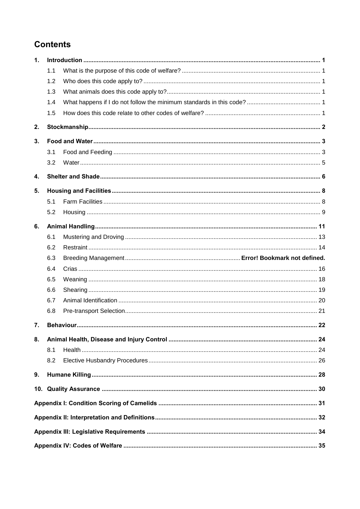## **Contents**

| 1. |     |            |    |  |  |
|----|-----|------------|----|--|--|
|    | 1.1 |            |    |  |  |
|    | 1.2 |            |    |  |  |
|    | 1.3 |            |    |  |  |
|    | 1.4 |            |    |  |  |
|    | 1.5 |            |    |  |  |
| 2. |     |            |    |  |  |
| 3. |     |            |    |  |  |
|    | 3.1 |            |    |  |  |
|    | 3.2 |            |    |  |  |
| 4. |     |            |    |  |  |
| 5. |     |            |    |  |  |
|    | 5.1 |            |    |  |  |
|    | 5.2 |            |    |  |  |
| 6. |     |            |    |  |  |
|    | 6.1 |            |    |  |  |
|    | 6.2 |            |    |  |  |
|    |     |            |    |  |  |
|    | 6.3 |            |    |  |  |
|    | 6.4 |            |    |  |  |
|    | 6.5 |            |    |  |  |
|    | 6.6 |            |    |  |  |
|    | 6.7 |            |    |  |  |
|    | 6.8 |            |    |  |  |
| 7. |     | Behaviour. | 22 |  |  |
| 8. |     |            |    |  |  |
|    | 8.1 |            |    |  |  |
|    | 8.2 |            |    |  |  |
| 9. |     |            |    |  |  |
|    |     |            |    |  |  |
|    |     |            |    |  |  |
|    |     |            |    |  |  |
|    |     |            |    |  |  |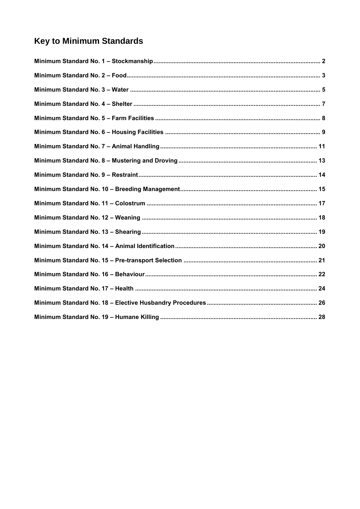## **Key to Minimum Standards**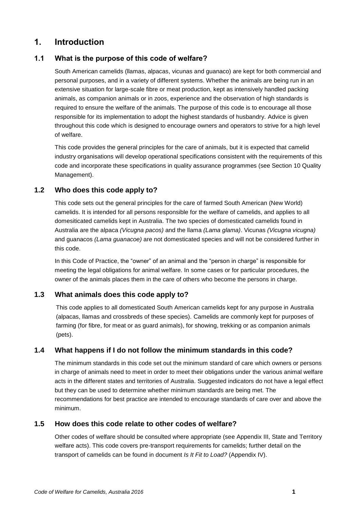## <span id="page-4-0"></span>**1. Introduction**

## <span id="page-4-1"></span>**1.1 What is the purpose of this code of welfare?**

South American camelids (llamas, alpacas, vicunas and guanaco) are kept for both commercial and personal purposes, and in a variety of different systems. Whether the animals are being run in an extensive situation for large-scale fibre or meat production, kept as intensively handled packing animals, as companion animals or in zoos, experience and the observation of high standards is required to ensure the welfare of the animals. The purpose of this code is to encourage all those responsible for its implementation to adopt the highest standards of husbandry. Advice is given throughout this code which is designed to encourage owners and operators to strive for a high level of welfare.

This code provides the general principles for the care of animals, but it is expected that camelid industry organisations will develop operational specifications consistent with the requirements of this code and incorporate these specifications in quality assurance programmes (see Section 10 Quality Management).

### <span id="page-4-2"></span>**1.2 Who does this code apply to?**

This code sets out the general principles for the care of farmed South American (New World) camelids. It is intended for all persons responsible for the welfare of camelids, and applies to all domesiticated camelids kept in Australia. The two species of domesticated camelids found in Australia are the alpaca *(Vicugna pacos)* and the llama *(Lama glama)*. Vicunas *(Vicugna vicugna)* and guanacos *(Lama guanacoe)* are not domesticated species and will not be considered further in this code.

In this Code of Practice, the "owner" of an animal and the "person in charge" is responsible for meeting the legal obligations for animal welfare. In some cases or for particular procedures, the owner of the animals places them in the care of others who become the persons in charge.

### <span id="page-4-3"></span>**1.3 What animals does this code apply to?**

This code applies to all domesticated South American camelids kept for any purpose in Australia (alpacas, llamas and crossbreds of these species). Camelids are commonly kept for purposes of farming (for fibre, for meat or as guard animals), for showing, trekking or as companion animals (pets).

### <span id="page-4-4"></span>**1.4 What happens if I do not follow the minimum standards in this code?**

The minimum standards in this code set out the minimum standard of care which owners or persons in charge of animals need to meet in order to meet their obligations under the various animal welfare acts in the different states and territories of Australia. Suggested indicators do not have a legal effect but they can be used to determine whether minimum standards are being met. The recommendations for best practice are intended to encourage standards of care over and above the minimum.

#### <span id="page-4-5"></span>**1.5 How does this code relate to other codes of welfare?**

Other codes of welfare should be consulted where appropriate (see Appendix III, State and Territory welfare acts). This code covers pre-transport requirements for camelids; further detail on the transport of camelids can be found in document *Is It Fit to Load?* (Appendix IV).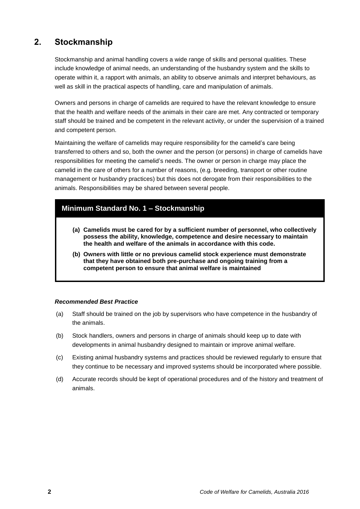## <span id="page-5-0"></span>**2. Stockmanship**

Stockmanship and animal handling covers a wide range of skills and personal qualities. These include knowledge of animal needs, an understanding of the husbandry system and the skills to operate within it, a rapport with animals, an ability to observe animals and interpret behaviours, as well as skill in the practical aspects of handling, care and manipulation of animals.

Owners and persons in charge of camelids are required to have the relevant knowledge to ensure that the health and welfare needs of the animals in their care are met. Any contracted or temporary staff should be trained and be competent in the relevant activity, or under the supervision of a trained and competent person.

Maintaining the welfare of camelids may require responsibility for the camelid's care being transferred to others and so, both the owner and the person (or persons) in charge of camelids have responsibilities for meeting the camelid's needs. The owner or person in charge may place the camelid in the care of others for a number of reasons, (e.g. breeding, transport or other routine management or husbandry practices) but this does not derogate from their responsibilities to the animals. Responsibilities may be shared between several people.

## <span id="page-5-1"></span>**Minimum Standard No. 1 – Stockmanship**

- **(a) Camelids must be cared for by a sufficient number of personnel, who collectively possess the ability, knowledge, competence and desire necessary to maintain the health and welfare of the animals in accordance with this code.**
- **(b) Owners with little or no previous camelid stock experience must demonstrate that they have obtained both pre-purchase and ongoing training from a competent person to ensure that animal welfare is maintained**

- (a) Staff should be trained on the job by supervisors who have competence in the husbandry of the animals.
- (b) Stock handlers, owners and persons in charge of animals should keep up to date with developments in animal husbandry designed to maintain or improve animal welfare.
- (c) Existing animal husbandry systems and practices should be reviewed regularly to ensure that they continue to be necessary and improved systems should be incorporated where possible.
- (d) Accurate records should be kept of operational procedures and of the history and treatment of animals.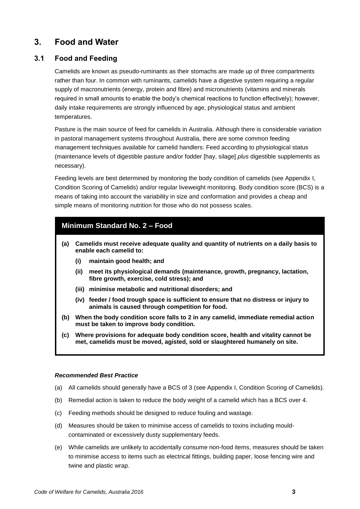## <span id="page-6-0"></span>**3. Food and Water**

## <span id="page-6-1"></span>**3.1 Food and Feeding**

Camelids are known as pseudo-ruminants as their stomachs are made up of three compartments rather than four. In common with ruminants, camelids have a digestive system requiring a regular supply of macronutrients (energy, protein and fibre) and micronutrients (vitamins and minerals required in small amounts to enable the body's chemical reactions to function effectively); however, daily intake requirements are strongly influenced by age, physiological status and ambient temperatures.

Pasture is the main source of feed for camelids in Australia. Although there is considerable variation in pastoral management systems throughout Australia, there are some common feeding management techniques available for camelid handlers: Feed according to physiological status (maintenance levels of digestible pasture and/or fodder [hay, silage] *plus* digestible supplements as necessary).

Feeding levels are best determined by monitoring the body condition of camelids (see Appendix I, Condition Scoring of Camelids) and/or regular liveweight monitoring. Body condition score (BCS) is a means of taking into account the variability in size and conformation and provides a cheap and simple means of monitoring nutrition for those who do not possess scales.

## <span id="page-6-2"></span>**Minimum Standard No. 2 – Food**

- **(a) Camelids must receive adequate quality and quantity of nutrients on a daily basis to enable each camelid to:**
	- **(i) maintain good health; and**
	- **(ii) meet its physiological demands (maintenance, growth, pregnancy, lactation, fibre growth, exercise, cold stress); and**
	- **(iii) minimise metabolic and nutritional disorders; and**
	- **(iv) feeder / food trough space is sufficient to ensure that no distress or injury to animals is caused through competition for food.**
- **(b) When the body condition score falls to 2 in any camelid, immediate remedial action must be taken to improve body condition.**
- **(c) Where provisions for adequate body condition score, health and vitality cannot be met, camelids must be moved, agisted, sold or slaughtered humanely on site.**

- (a) All camelids should generally have a BCS of 3 (see Appendix I, Condition Scoring of Camelids).
- (b) Remedial action is taken to reduce the body weight of a camelid which has a BCS over 4.
- (c) Feeding methods should be designed to reduce fouling and wastage.
- (d) Measures should be taken to minimise access of camelids to toxins including mouldcontaminated or excessively dusty supplementary feeds.
- (e) While camelids are unlikely to accidentally consume non-food items, measures should be taken to minimise access to items such as electrical fittings, building paper, loose fencing wire and twine and plastic wrap.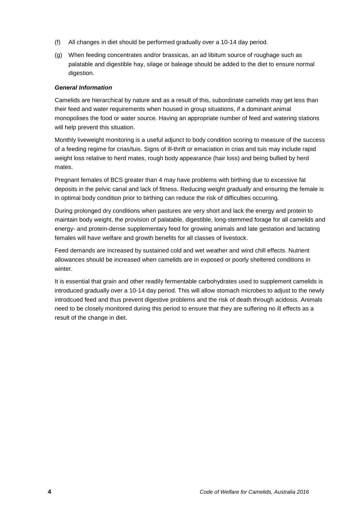- (f) All changes in diet should be performed gradually over a 10-14 day period.
- (g) When feeding concentrates and/or brassicas, an ad libitum source of roughage such as palatable and digestible hay, silage or baleage should be added to the diet to ensure normal digestion.

#### *General Information*

Camelids are hierarchical by nature and as a result of this, subordinate camelids may get less than their feed and water requirements when housed in group situations, if a dominant animal monopolises the food or water source. Having an appropriate number of feed and watering stations will help prevent this situation.

Monthly liveweight monitoring is a useful adjunct to body condition scoring to measure of the success of a feeding regime for crias/tuis. Signs of ill-thrift or emaciation in crias and tuis may include rapid weight loss relative to herd mates, rough body appearance (hair loss) and being bullied by herd mates.

Pregnant females of BCS greater than 4 may have problems with birthing due to excessive fat deposits in the pelvic canal and lack of fitness. Reducing weight *gradually* and ensuring the female is in optimal body condition prior to birthing can reduce the risk of difficulties occurring.

During prolonged dry conditions when pastures are very short and lack the energy and protein to maintain body weight, the provision of palatable, digestible, long-stemmed forage for all camelids and energy- and protein-dense supplementary feed for growing animals and late gestation and lactating females will have welfare and growth benefits for all classes of livestock.

Feed demands are increased by sustained cold and wet weather and wind chill effects. Nutrient allowances should be increased when camelids are in exposed or poorly sheltered conditions in winter.

<span id="page-7-0"></span>It is essential that grain and other readily fermentable carbohydrates used to supplement camelids is introduced gradually over a 10-14 day period. This will allow stomach microbes to adjust to the newly introdcued feed and thus prevent digestive problems and the risk of death through acidosis. Animals need to be closely monitored during this period to ensure that they are suffering no ill effects as a result of the change in diet.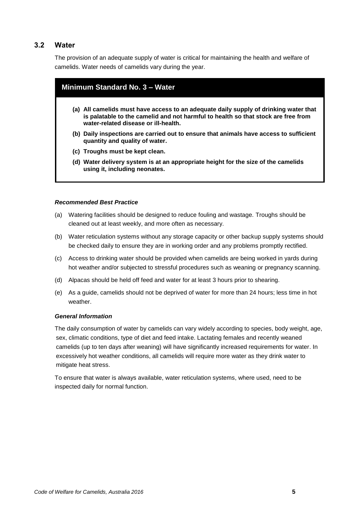## **3.2 Water**

The provision of an adequate supply of water is critical for maintaining the health and welfare of camelids. Water needs of camelids vary during the year.

#### <span id="page-8-0"></span>**Minimum Standard No. 3 – Water**

- **(a) All camelids must have access to an adequate daily supply of drinking water that is palatable to the camelid and not harmful to health so that stock are free from water-related disease or ill-health.**
- **(b) Daily inspections are carried out to ensure that animals have access to sufficient quantity and quality of water.**
- **(c) Troughs must be kept clean.**
- **(d) Water delivery system is at an appropriate height for the size of the camelids using it, including neonates.**

#### *Recommended Best Practice*

- (a) Watering facilities should be designed to reduce fouling and wastage. Troughs should be cleaned out at least weekly, and more often as necessary.
- (b) Water reticulation systems without any storage capacity or other backup supply systems should be checked daily to ensure they are in working order and any problems promptly rectified.
- (c) Access to drinking water should be provided when camelids are being worked in yards during hot weather and/or subjected to stressful procedures such as weaning or pregnancy scanning.
- (d) Alpacas should be held off feed and water for at least 3 hours prior to shearing.
- (e) As a guide, camelids should not be deprived of water for more than 24 hours; less time in hot weather.

#### *General Information*

The daily consumption of water by camelids can vary widely according to species, body weight, age, sex, climatic conditions, type of diet and feed intake. Lactating females and recently weaned camelids (up to ten days after weaning) will have significantly increased requirements for water. In excessively hot weather conditions, all camelids will require more water as they drink water to mitigate heat stress.

To ensure that water is always available, water reticulation systems, where used, need to be inspected daily for normal function.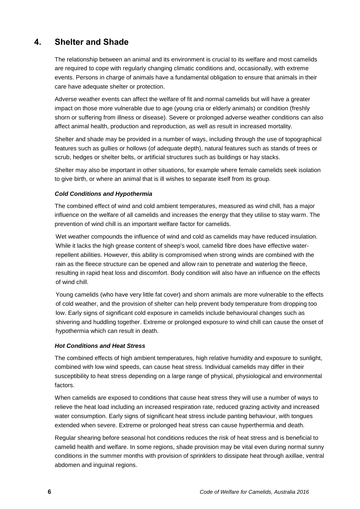## <span id="page-9-0"></span>**4. Shelter and Shade**

The relationship between an animal and its environment is crucial to its welfare and most camelids are required to cope with regularly changing climatic conditions and, occasionally, with extreme events. Persons in charge of animals have a fundamental obligation to ensure that animals in their care have adequate shelter or protection.

Adverse weather events can affect the welfare of fit and normal camelids but will have a greater impact on those more vulnerable due to age (young cria or elderly animals) or condition (freshly shorn or suffering from illness or disease). Severe or prolonged adverse weather conditions can also affect animal health, production and reproduction, as well as result in increased mortality.

Shelter and shade may be provided in a number of ways, including through the use of topographical features such as gullies or hollows (of adequate depth), natural features such as stands of trees or scrub, hedges or shelter belts, or artificial structures such as buildings or hay stacks.

Shelter may also be important in other situations, for example where female camelids seek isolation to give birth, or where an animal that is ill wishes to separate itself from its group.

#### *Cold Conditions and Hypothermia*

The combined effect of wind and cold ambient temperatures, measured as wind chill, has a major influence on the welfare of all camelids and increases the energy that they utilise to stay warm. The prevention of wind chill is an important welfare factor for camelids.

Wet weather compounds the influence of wind and cold as camelids may have reduced insulation. While it lacks the high grease content of sheep's wool, camelid fibre does have effective waterrepellent abilities. However, this ability is compromised when strong winds are combined with the rain as the fleece structure can be opened and allow rain to penetrate and waterlog the fleece, resulting in rapid heat loss and discomfort. Body condition will also have an influence on the effects of wind chill.

Young camelids (who have very little fat cover) and shorn animals are more vulnerable to the effects of cold weather, and the provision of shelter can help prevent body temperature from dropping too low. Early signs of significant cold exposure in camelids include behavioural changes such as shivering and huddling together. Extreme or prolonged exposure to wind chill can cause the onset of hypothermia which can result in death.

#### *Hot Conditions and Heat Stress*

The combined effects of high ambient temperatures, high relative humidity and exposure to sunlight, combined with low wind speeds, can cause heat stress. Individual camelids may differ in their susceptibility to heat stress depending on a large range of physical, physiological and environmental factors.

When camelids are exposed to conditions that cause heat stress they will use a number of ways to relieve the heat load including an increased respiration rate, reduced grazing activity and increased water consumption. Early signs of significant heat stress include panting behaviour, with tongues extended when severe. Extreme or prolonged heat stress can cause hyperthermia and death.

Regular shearing before seasonal hot conditions reduces the risk of heat stress and is beneficial to camelid health and welfare. In some regions, shade provision may be vital even during normal sunny conditions in the summer months with provision of sprinklers to dissipate heat through axillae, ventral abdomen and inguinal regions.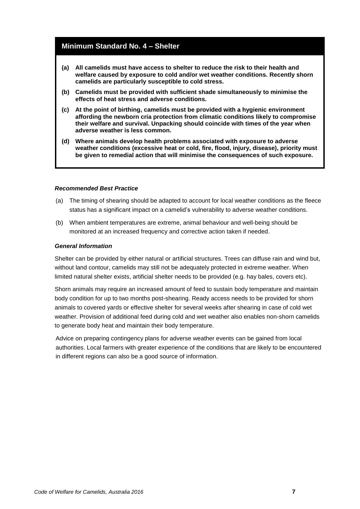## <span id="page-10-0"></span>**Minimum Standard No. 4 – Shelter**

- **(a) All camelids must have access to shelter to reduce the risk to their health and welfare caused by exposure to cold and/or wet weather conditions. Recently shorn camelids are particularly susceptible to cold stress.**
- **(b) Camelids must be provided with sufficient shade simultaneously to minimise the effects of heat stress and adverse conditions.**
- **(c) At the point of birthing, camelids must be provided with a hygienic environment affording the newborn cria protection from climatic conditions likely to compromise their welfare and survival. Unpacking should coincide with times of the year when adverse weather is less common.**
- **(d) Where animals develop health problems associated with exposure to adverse weather conditions (excessive heat or cold, fire, flood, injury, disease), priority must be given to remedial action that will minimise the consequences of such exposure.**

#### *Recommended Best Practice*

- (a) The timing of shearing should be adapted to account for local weather conditions as the fleece status has a significant impact on a camelid's vulnerability to adverse weather conditions.
- (b) When ambient temperatures are extreme, animal behaviour and well-being should be monitored at an increased frequency and corrective action taken if needed.

#### *General Information*

Shelter can be provided by either natural or artificial structures. Trees can diffuse rain and wind but, without land contour, camelids may still not be adequately protected in extreme weather. When limited natural shelter exists, artificial shelter needs to be provided (e.g. hay bales, covers etc).

Shorn animals may require an increased amount of feed to sustain body temperature and maintain body condition for up to two months post-shearing. Ready access needs to be provided for shorn animals to covered yards or effective shelter for several weeks after shearing in case of cold wet weather. Provision of additional feed during cold and wet weather also enables non-shorn camelids to generate body heat and maintain their body temperature.

Advice on preparing contingency plans for adverse weather events can be gained from local authorities. Local farmers with greater experience of the conditions that are likely to be encountered in different regions can also be a good source of information.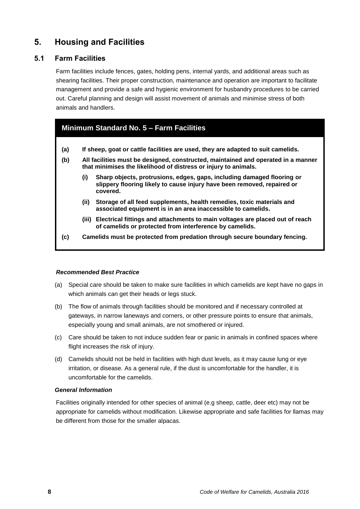## <span id="page-11-0"></span>**5. Housing and Facilities**

### <span id="page-11-1"></span>**5.1 Farm Facilities**

Farm facilities include fences, gates, holding pens, internal yards, and additional areas such as shearing facilities. Their proper construction, maintenance and operation are important to facilitate management and provide a safe and hygienic environment for husbandry procedures to be carried out. Careful planning and design will assist movement of animals and minimise stress of both animals and handlers.

## <span id="page-11-2"></span>**Minimum Standard No. 5 – Farm Facilities**

- **(a) If sheep, goat or cattle facilities are used, they are adapted to suit camelids.**
- **(b) All facilities must be designed, constructed, maintained and operated in a manner that minimises the likelihood of distress or injury to animals.**
	- **(i) Sharp objects, protrusions, edges, gaps, including damaged flooring or slippery flooring likely to cause injury have been removed, repaired or covered.**
	- **(ii) Storage of all feed supplements, health remedies, toxic materials and associated equipment is in an area inaccessible to camelids.**
	- **(iii) Electrical fittings and attachments to main voltages are placed out of reach of camelids or protected from interference by camelids.**
- **(c) Camelids must be protected from predation through secure boundary fencing.**

#### *Recommended Best Practice*

- (a) Special care should be taken to make sure facilities in which camelids are kept have no gaps in which animals can get their heads or legs stuck.
- (b) The flow of animals through facilities should be monitored and if necessary controlled at gateways, in narrow laneways and corners, or other pressure points to ensure that animals, especially young and small animals, are not smothered or injured.
- (c) Care should be taken to not induce sudden fear or panic in animals in confined spaces where flight increases the risk of injury.
- (d) Camelids should not be held in facilities with high dust levels, as it may cause lung or eye irritation, or disease. As a general rule, if the dust is uncomfortable for the handler, it is uncomfortable for the camelids.

#### *General Information*

Facilities originally intended for other species of animal (e.g sheep, cattle, deer etc) may not be appropriate for camelids without modification. Likewise appropriate and safe facilities for llamas may be different from those for the smaller alpacas.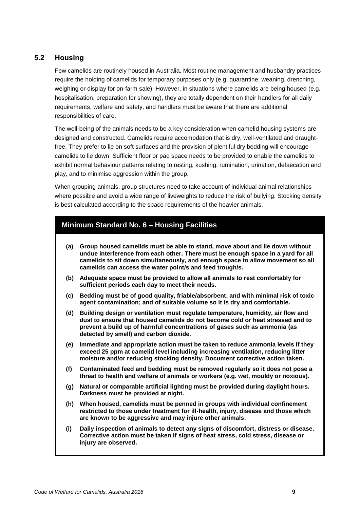## <span id="page-12-0"></span>**5.2 Housing**

Few camelids are routinely housed in Australia. Most routine management and husbandry practices require the holding of camelids for temporary purposes only (e.g. quarantine, weaning, drenching, weighing or display for on-farm sale). However, in situations where camelids are being housed (e.g. hospitalisation, preparation for showing), they are totally dependent on their handlers for all daily requirements, welfare and safety, and handlers must be aware that there are additional responsibilities of care.

The well-being of the animals needs to be a key consideration when camelid housing systems are designed and constructed. Camelids require accomodation that is dry, well-ventilated and draughtfree. They prefer to lie on soft surfaces and the provision of plentiful dry bedding will encourage camelids to lie down. Sufficient floor or pad space needs to be provided to enable the camelids to exhibit normal behaviour patterns relating to resting, kushing, rumination, urination, defaecation and play, and to minimise aggression within the group.

When grouping animals, group structures need to take account of individual animal relationships where possible and avoid a wide range of liveweights to reduce the risk of bullying. Stocking density is best calculated according to the space requirements of the heavier animals.

## <span id="page-12-1"></span>**Minimum Standard No. 6 – Housing Facilities**

- **(a) Group housed camelids must be able to stand, move about and lie down without undue interference from each other. There must be enough space in a yard for all camelids to sit down simultaneously, and enough space to allow movement so all camelids can access the water point/s and feed trough/s.**
- **(b) Adequate space must be provided to allow all animals to rest comfortably for sufficient periods each day to meet their needs.**
- **(c) Bedding must be of good quality, friable/absorbent, and with minimal risk of toxic agent contamination; and of suitable volume so it is dry and comfortable.**
- **(d) Building design or ventilation must regulate temperature, humidity, air flow and dust to ensure that housed camelids do not become cold or heat stressed and to prevent a build up of harmful concentrations of gases such as ammonia (as detected by smell) and carbon dioxide.**
- **(e) Immediate and appropriate action must be taken to reduce ammonia levels if they exceed 25 ppm at camelid level including increasing ventilation, reducing litter moisture and/or reducing stocking density. Document corrective action taken.**
- **(f) Contaminated feed and bedding must be removed regularly so it does not pose a threat to health and welfare of animals or workers (e.g. wet, mouldy or noxious).**
- **(g) Natural or comparable artificial lighting must be provided during daylight hours. Darkness must be provided at night.**
- **(h) When housed, camelids must be penned in groups with individual confinement restricted to those under treatment for ill-health, injury, disease and those which are known to be aggressive and may injure other animals.**
- **(i) Daily inspection of animals to detect any signs of discomfort, distress or disease. Corrective action must be taken if signs of heat stress, cold stress, disease or injury are observed.**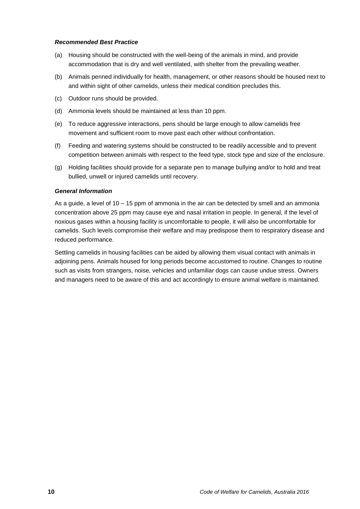#### *Recommended Best Practice*

- (a) Housing should be constructed with the well-being of the animals in mind, and provide accommodation that is dry and well ventilated, with shelter from the prevailing weather.
- (b) Animals penned individually for health, management, or other reasons should be housed next to and within sight of other camelids, unless their medical condition precludes this.
- (c) Outdoor runs should be provided.
- (d) Ammonia levels should be maintained at less than 10 ppm.
- (e) To reduce aggressive interactions, pens should be large enough to allow camelids free movement and sufficient room to move past each other without confrontation.
- (f) Feeding and watering systems should be constructed to be readily accessible and to prevent competition between animals with respect to the feed type, stock type and size of the enclosure.
- (g) Holding facilities should provide for a separate pen to manage bullying and/or to hold and treat bullied, unwell or injured camelids until recovery.

#### *General Information*

As a guide, a level of 10 – 15 ppm of ammonia in the air can be detected by smell and an ammonia concentration above 25 ppm may cause eye and nasal irritation in people. In general, if the level of noxious gases within a housing facility is uncomfortable to people, it will also be uncomfortable for camelids. Such levels compromise their welfare and may predispose them to respiratory disease and reduced performance.

Settling camelids in housing facilities can be aided by allowing them visual contact with animals in adjoining pens. Animals housed for long periods become accustomed to routine. Changes to routine such as visits from strangers, noise, vehicles and unfamiliar dogs can cause undue stress. Owners and managers need to be aware of this and act accordingly to ensure animal welfare is maintained.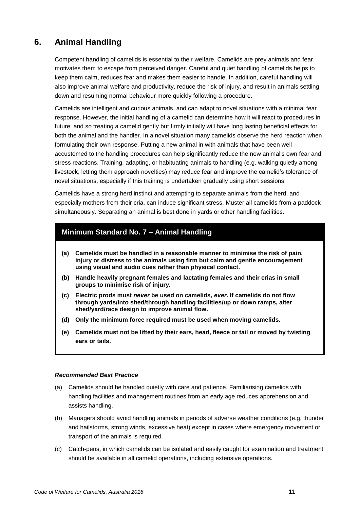## <span id="page-14-0"></span>**6. Animal Handling**

Competent handling of camelids is essential to their welfare. Camelids are prey animals and fear motivates them to escape from perceived danger. Careful and quiet handling of camelids helps to keep them calm, reduces fear and makes them easier to handle. In addition, careful handling will also improve animal welfare and productivity, reduce the risk of injury, and result in animals settling down and resuming normal behaviour more quickly following a procedure.

Camelids are intelligent and curious animals, and can adapt to novel situations with a minimal fear response. However, the initial handling of a camelid can determine how it will react to procedures in future, and so treating a camelid gently but firmly initially will have long lasting beneficial effects for both the animal and the handler. In a novel situation many camelids observe the herd reaction when formulating their own response. Putting a new animal in with animals that have been well accustomed to the handling procedures can help significantly reduce the new animal's own fear and stress reactions. Training, adapting, or habituating animals to handling (e.g. walking quietly among livestock, letting them approach novelties) may reduce fear and improve the camelid's tolerance of novel situations, especially if this training is undertaken gradually using short sessions.

Camelids have a strong herd instinct and attempting to separate animals from the herd, and especially mothers from their cria, can induce significant stress. Muster all camelids from a paddock simultaneously. Separating an animal is best done in yards or other handling facilities.

## <span id="page-14-1"></span>**Minimum Standard No. 7 – Animal Handling**

- **(a) Camelids must be handled in a reasonable manner to minimise the risk of pain, injury or distress to the animals using firm but calm and gentle encouragement using visual and audio cues rather than physical contact.**
- **(b) Handle heavily pregnant females and lactating females and their crias in small groups to minimise risk of injury.**
- **(c) Electric prods must** *never* **be used on camelids,** *ever***. If camelids do not flow through yards/into shed/through handling facilities/up or down ramps, alter shed/yard/race design to improve animal flow.**
- **(d) Only the minimum force required must be used when moving camelids.**
- **(e) Camelids must not be lifted by their ears, head, fleece or tail or moved by twisting ears or tails.**

- (a) Camelids should be handled quietly with care and patience. Familiarising camelids with handling facilities and management routines from an early age reduces apprehension and assists handling.
- (b) Managers should avoid handling animals in periods of adverse weather conditions (e.g. thunder and hailstorms, strong winds, excessive heat) except in cases where emergency movement or transport of the animals is required.
- (c) Catch-pens, in which camelids can be isolated and easily caught for examination and treatment should be available in all camelid operations, including extensive operations.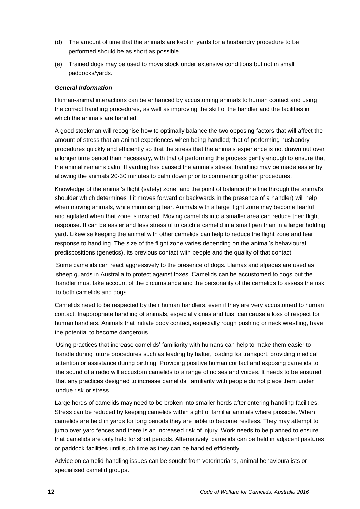- (d) The amount of time that the animals are kept in yards for a husbandry procedure to be performed should be as short as possible.
- (e) Trained dogs may be used to move stock under extensive conditions but not in small paddocks/yards.

#### *General Information*

Human-animal interactions can be enhanced by accustoming animals to human contact and using the correct handling procedures, as well as improving the skill of the handler and the facilities in which the animals are handled.

A good stockman will recognise how to optimally balance the two opposing factors that will affect the amount of stress that an animal experiences when being handled; that of performing husbandry procedures quickly and efficiently so that the stress that the animals experience is not drawn out over a longer time period than necessary, with that of performing the process gently enough to ensure that the animal remains calm. If yarding has caused the animals stress, handling may be made easier by allowing the animals 20-30 minutes to calm down prior to commencing other procedures.

Knowledge of the animal's flight (safety) zone, and the point of balance (the line through the animal's shoulder which determines if it moves forward or backwards in the presence of a handler) will help when moving animals, while minimising fear. Animals with a large flight zone may become fearful and agitated when that zone is invaded. Moving camelids into a smaller area can reduce their flight response. It can be easier and less stressful to catch a camelid in a small pen than in a larger holding yard. Likewise keeping the animal with other camelids can help to reduce the flight zone and fear response to handling. The size of the flight zone varies depending on the animal's behavioural predispositions (genetics), its previous contact with people and the quality of that contact.

Some camelids can react aggressively to the presence of dogs. Llamas and alpacas are used as sheep guards in Australia to protect against foxes. Camelids can be accustomed to dogs but the handler must take account of the circumstance and the personality of the camelids to assess the risk to both camelids and dogs.

Camelids need to be respected by their human handlers, even if they are very accustomed to human contact. Inappropriate handling of animals, especially crias and tuis, can cause a loss of respect for human handlers. Animals that initiate body contact, especially rough pushing or neck wrestling, have the potential to become dangerous.

Using practices that increase camelids' familiarity with humans can help to make them easier to handle during future procedures such as leading by halter, loading for transport, providing medical attention or assistance during birthing. Providing positive human contact and exposing camelids to the sound of a radio will accustom camelids to a range of noises and voices. It needs to be ensured that any practices designed to increase camelids' familiarity with people do not place them under undue risk or stress.

Large herds of camelids may need to be broken into smaller herds after entering handling facilities. Stress can be reduced by keeping camelids within sight of familiar animals where possible. When camelids are held in yards for long periods they are liable to become restless. They may attempt to jump over yard fences and there is an increased risk of injury. Work needs to be planned to ensure that camelids are only held for short periods. Alternatively, camelids can be held in adjacent pastures or paddock facilities until such time as they can be handled efficiently.

Advice on camelid handling issues can be sought from veterinarians, animal behaviouralists or specialised camelid groups.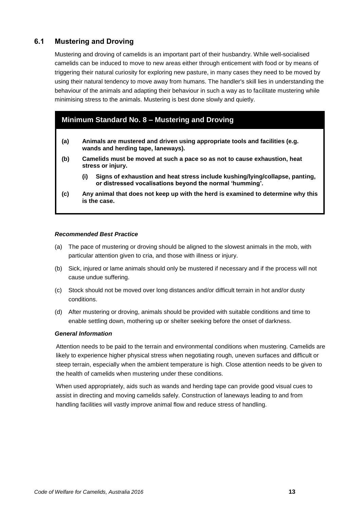## <span id="page-16-0"></span>**6.1 Mustering and Droving**

Mustering and droving of camelids is an important part of their husbandry. While well-socialised camelids can be induced to move to new areas either through enticement with food or by means of triggering their natural curiosity for exploring new pasture, in many cases they need to be moved by using their natural tendency to move away from humans. The handler's skill lies in understanding the behaviour of the animals and adapting their behaviour in such a way as to facilitate mustering while minimising stress to the animals. Mustering is best done slowly and quietly.

## <span id="page-16-1"></span>**Minimum Standard No. 8 – Mustering and Droving**

- **(a) Animals are mustered and driven using appropriate tools and facilities (e.g. wands and herding tape, laneways).**
- **(b) Camelids must be moved at such a pace so as not to cause exhaustion, heat stress or injury.**
	- **(i) Signs of exhaustion and heat stress include kushing/lying/collapse, panting, or distressed vocalisations beyond the normal 'humming'.**
- **(c) Any animal that does not keep up with the herd is examined to determine why this is the case.**

#### *Recommended Best Practice*

- (a) The pace of mustering or droving should be aligned to the slowest animals in the mob, with particular attention given to cria, and those with illness or injury.
- (b) Sick, injured or lame animals should only be mustered if necessary and if the process will not cause undue suffering.
- (c) Stock should not be moved over long distances and/or difficult terrain in hot and/or dusty conditions.
- (d) After mustering or droving, animals should be provided with suitable conditions and time to enable settling down, mothering up or shelter seeking before the onset of darkness.

#### *General Information*

Attention needs to be paid to the terrain and environmental conditions when mustering. Camelids are likely to experience higher physical stress when negotiating rough, uneven surfaces and difficult or steep terrain, especially when the ambient temperature is high. Close attention needs to be given to the health of camelids when mustering under these conditions.

When used appropriately, aids such as wands and herding tape can provide good visual cues to assist in directing and moving camelids safely. Construction of laneways leading to and from handling facilities will vastly improve animal flow and reduce stress of handling.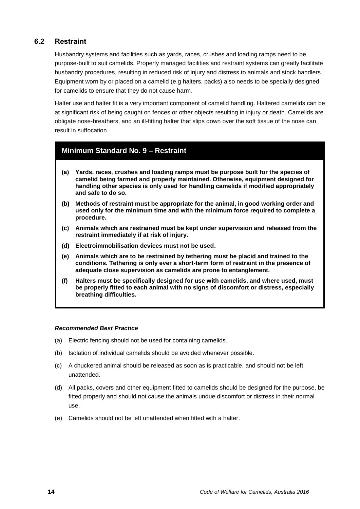### <span id="page-17-0"></span>**6.2 Restraint**

Husbandry systems and facilities such as yards, races, crushes and loading ramps need to be purpose-built to suit camelids. Properly managed facilities and restraint systems can greatly facilitate husbandry procedures, resulting in reduced risk of injury and distress to animals and stock handlers. Equipment worn by or placed on a camelid (e.g halters, packs) also needs to be specially designed for camelids to ensure that they do not cause harm.

Halter use and halter fit is a very important component of camelid handling. Haltered camelids can be at significant risk of being caught on fences or other objects resulting in injury or death. Camelids are obligate nose-breathers, and an ill-fitting halter that slips down over the soft tissue of the nose can result in suffocation.

### <span id="page-17-1"></span>**Minimum Standard No. 9 – Restraint**

- **(a) Yards, races, crushes and loading ramps must be purpose built for the species of camelid being farmed and properly maintained. Otherwise, equipment designed for handling other species is only used for handling camelids if modified appropriately and safe to do so.**
- **(b) Methods of restraint must be appropriate for the animal, in good working order and used only for the minimum time and with the minimum force required to complete a procedure.**
- **(c) Animals which are restrained must be kept under supervision and released from the restraint immediately if at risk of injury.**
- **(d) Electroimmobilisation devices must not be used.**
- **(e) Animals which are to be restrained by tethering must be placid and trained to the conditions. Tethering is only ever a short-term form of restraint in the presence of adequate close supervision as camelids are prone to entanglement.**
- **(f) Halters must be specifically designed for use with camelids, and where used, must be properly fitted to each animal with no signs of discomfort or distress, especially breathing difficulties.**

- (a) Electric fencing should not be used for containing camelids.
- (b) Isolation of individual camelids should be avoided whenever possible.
- (c) A chuckered animal should be released as soon as is practicable, and should not be left unattended.
- (d) All packs, covers and other equipment fitted to camelids should be designed for the purpose, be fitted properly and should not cause the animals undue discomfort or distress in their normal use.
- (e) Camelids should not be left unattended when fitted with a halter.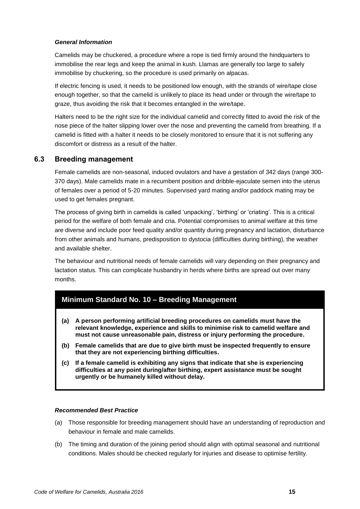#### *General Information*

Camelids may be chuckered, a procedure where a rope is tied firmly around the hindquarters to immobilise the rear legs and keep the animal in kush. Llamas are generally too large to safely immobilise by chuckering, so the procedure is used primarily on alpacas.

If electric fencing is used, it needs to be positioned low enough, with the strands of wire/tape close enough together, so that the camelid is unlikely to place its head under or through the wire/tape to graze, thus avoiding the risk that it becomes entangled in the wire/tape.

Halters need to be the right size for the individual camelid and correctly fitted to avoid the risk of the nose piece of the halter slipping lower over the nose and preventing the camelid from breathing. If a camelid is fitted with a halter it needs to be closely monitored to ensure that it is not suffering any discomfort or distress as a result of the halter.

### **6.3 Breeding management**

Female camelids are non-seasonal, induced ovulators and have a gestation of 342 days (range 300- 370 days). Male camelids mate in a recumbent position and dribble-ejaculate semen into the uterus of females over a period of 5-20 minutes. Supervised yard mating and/or paddock mating may be used to get females pregnant.

The process of giving birth in camelids is called 'unpacking', 'birthing' or 'criating'. This is a critical period for the welfare of both female and cria. Potential compromises to animal welfare at this time are diverse and include poor feed quality and/or quantity during pregnancy and lactation, disturbance from other animals and humans, predisposition to dystocia (difficulties during birthing), the weather and available shelter.

The behaviour and nutritional needs of female camelids will vary depending on their pregnancy and lactation status. This can complicate husbandry in herds where births are spread out over many months.

### <span id="page-18-0"></span>**Minimum Standard No. 10 – Breeding Management**

- **(a) A person performing artificial breeding procedures on camelids must have the relevant knowledge, experience and skills to minimise risk to camelid welfare and must not cause unreasonable pain, distress or injury performing the procedure.**
- **(b) Female camelids that are due to give birth must be inspected frequently to ensure that they are not experiencing birthing difficulties.**
- **(c) If a female camelid is exhibiting any signs that indicate that she is experiencing difficulties at any point during/after birthing, expert assistance must be sought urgently or be humanely killed without delay.**

- (a) Those responsible for breeding management should have an understanding of reproduction and behaviour in female and male camelids.
- (b) The timing and duration of the joining period should align with optimal seasonal and nutritional conditions. Males should be checked regularly for injuries and disease to optimise fertility.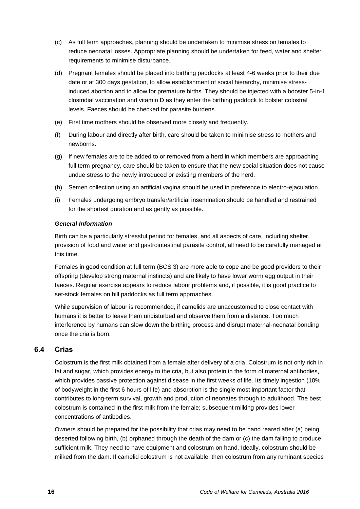- (c) As full term approaches, planning should be undertaken to minimise stress on females to reduce neonatal losses. Appropriate planning should be undertaken for feed, water and shelter requirements to minimise disturbance.
- (d) Pregnant females should be placed into birthing paddocks at least 4-6 weeks prior to their due date or at 300 days gestation, to allow establishment of social hierarchy, minimise stressinduced abortion and to allow for premature births. They should be injected with a booster 5-in-1 clostridial vaccination and vitamin D as they enter the birthing paddock to bolster colostral levels. Faeces should be checked for parasite burdens.
- (e) First time mothers should be observed more closely and frequently.
- (f) During labour and directly after birth, care should be taken to minimise stress to mothers and newborns.
- (g) If new females are to be added to or removed from a herd in which members are approaching full term pregnancy, care should be taken to ensure that the new social situation does not cause undue stress to the newly introduced or existing members of the herd.
- (h) Semen collection using an artificial vagina should be used in preference to electro-ejaculation.
- (i) Females undergoing embryo transfer/artificial insemination should be handled and restrained for the shortest duration and as gently as possible.

#### *General Information*

Birth can be a particularly stressful period for females, and all aspects of care, including shelter, provision of food and water and gastrointestinal parasite control, all need to be carefully managed at this time.

Females in good condition at full term (BCS 3) are more able to cope and be good providers to their offspring (develop strong maternal instincts) and are likely to have lower worm egg output in their faeces. Regular exercise appears to reduce labour problems and, if possible, it is good practice to set-stock females on hill paddocks as full term approaches.

While supervision of labour is recommended, if camelids are unaccustomed to close contact with humans it is better to leave them undisturbed and observe them from a distance. Too much interference by humans can slow down the birthing process and disrupt maternal-neonatal bonding once the cria is born.

#### <span id="page-19-0"></span>**6.4 Crias**

Colostrum is the first milk obtained from a female after delivery of a cria. Colostrum is not only rich in fat and sugar, which provides energy to the cria, but also protein in the form of maternal antibodies, which provides passive protection against disease in the first weeks of life. Its timely ingestion (10% of bodyweight in the first 6 hours of life) and absorption is the single most important factor that contributes to long-term survival, growth and production of neonates through to adulthood. The best colostrum is contained in the first milk from the female; subsequent milking provides lower concentrations of antibodies.

Owners should be prepared for the possibility that crias may need to be hand reared after (a) being deserted following birth, (b) orphaned through the death of the dam or (c) the dam failing to produce sufficient milk. They need to have equipment and colostrum on hand. Ideally, colostrum should be milked from the dam. If camelid colostrum is not available, then colostrum from any ruminant species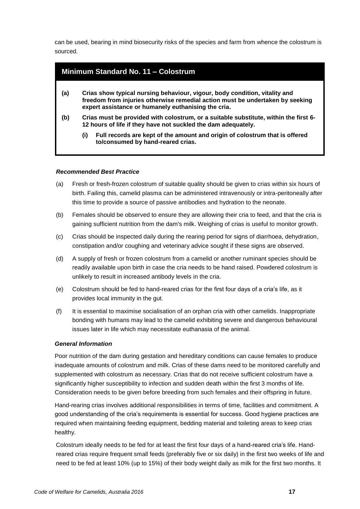can be used, bearing in mind biosecurity risks of the species and farm from whence the colostrum is sourced.

<span id="page-20-0"></span>

| <b>Minimum Standard No. 11 - Colostrum</b>                                                                                                                                                                                |                                                                                                                                                       |  |  |
|---------------------------------------------------------------------------------------------------------------------------------------------------------------------------------------------------------------------------|-------------------------------------------------------------------------------------------------------------------------------------------------------|--|--|
| Crias show typical nursing behaviour, vigour, body condition, vitality and<br>(a)<br>freedom from injuries otherwise remedial action must be undertaken by seeking<br>expert assistance or humanely euthanising the cria. |                                                                                                                                                       |  |  |
| (b)                                                                                                                                                                                                                       | Crias must be provided with colostrum, or a suitable substitute, within the first 6-<br>12 hours of life if they have not suckled the dam adequately. |  |  |
|                                                                                                                                                                                                                           | Full records are kept of the amount and origin of colostrum that is offered<br>(i)<br>to/consumed by hand-reared crias.                               |  |  |

#### *Recommended Best Practice*

- (a) Fresh or fresh-frozen colostrum of suitable quality should be given to crias within six hours of birth. Failing this, camelid plasma can be administered intravenously or intra-peritoneally after this time to provide a source of passive antibodies and hydration to the neonate.
- (b) Females should be observed to ensure they are allowing their cria to feed, and that the cria is gaining sufficient nutrition from the dam's milk. Weighing of crias is useful to monitor growth.
- (c) Crias should be inspected daily during the rearing period for signs of diarrhoea, dehydration, constipation and/or coughing and veterinary advice sought if these signs are observed.
- (d) A supply of fresh or frozen colostrum from a camelid or another ruminant species should be readily available upon birth in case the cria needs to be hand raised. Powdered colostrum is unlikely to result in increased antibody levels in the cria.
- (e) Colostrum should be fed to hand-reared crias for the first four days of a cria's life, as it provides local immunity in the gut.
- (f) It is essential to maximise socialisation of an orphan cria with other camelids. Inappropriate bonding with humans may lead to the camelid exhibiting severe and dangerous behavioural issues later in life which may necessitate euthanasia of the animal.

#### *General Information*

Poor nutrition of the dam during gestation and hereditary conditions can cause females to produce inadequate amounts of colostrum and milk. Crias of these dams need to be monitored carefully and supplemented with colostrum as necessary. Crias that do not receive sufficient colostrum have a significantly higher susceptibility to infection and sudden death within the first 3 months of life. Consideration needs to be given before breeding from such females and their offspring in future.

Hand-rearing crias involves additional responsibilities in terms of time, facilities and commitment. A good understanding of the cria's requirements is essential for success. Good hygiene practices are required when maintaining feeding equipment, bedding material and toileting areas to keep crias healthy.

Colostrum ideally needs to be fed for at least the first four days of a hand-reared cria's life. Handreared crias require frequent small feeds (preferably five or six daily) in the first two weeks of life and need to be fed at least 10% (up to 15%) of their body weight daily as milk for the first two months. It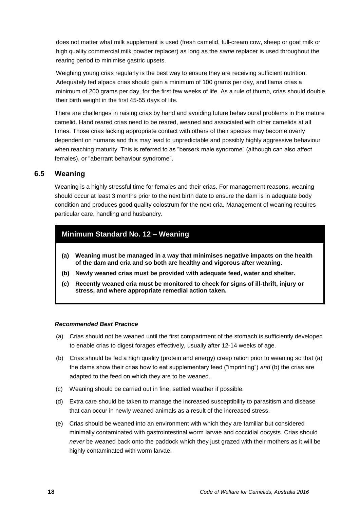does not matter what milk supplement is used (fresh camelid, full-cream cow, sheep or goat milk or high quality commercial milk powder replacer) as long as the *same* replacer is used throughout the rearing period to minimise gastric upsets.

Weighing young crias regularly is the best way to ensure they are receiving sufficient nutrition. Adequately fed alpaca crias should gain a minimum of 100 grams per day, and llama crias a minimum of 200 grams per day, for the first few weeks of life. As a rule of thumb, crias should double their birth weight in the first 45-55 days of life.

There are challenges in raising crias by hand and avoiding future behavioural problems in the mature camelid. Hand reared crias need to be reared, weaned and associated with other camelids at all times. Those crias lacking appropriate contact with others of their species may become overly dependent on humans and this may lead to unpredictable and possibly highly aggressive behaviour when reaching maturity. This is referred to as "berserk male syndrome" (although can also affect females), or "aberrant behaviour syndrome".

### <span id="page-21-0"></span>**6.5 Weaning**

Weaning is a highly stressful time for females and their crias. For management reasons, weaning should occur at least 3 months prior to the next birth date to ensure the dam is in adequate body condition and produces good quality colostrum for the next cria. Management of weaning requires particular care, handling and husbandry.

## <span id="page-21-1"></span>**Minimum Standard No. 12 – Weaning**

- **(a) Weaning must be managed in a way that minimises negative impacts on the health of the dam and cria and so both are healthy and vigorous after weaning.**
- **(b) Newly weaned crias must be provided with adequate feed, water and shelter.**
- **(c) Recently weaned cria must be monitored to check for signs of ill-thrift, injury or stress, and where appropriate remedial action taken.**

- (a) Crias should not be weaned until the first compartment of the stomach is sufficiently developed to enable crias to digest forages effectively, usually after 12-14 weeks of age.
- (b) Crias should be fed a high quality (protein and energy) creep ration prior to weaning so that (a) the dams show their crias how to eat supplementary feed ("imprinting") *and* (b) the crias are adapted to the feed on which they are to be weaned.
- (c) Weaning should be carried out in fine, settled weather if possible.
- (d) Extra care should be taken to manage the increased susceptibility to parasitism and disease that can occur in newly weaned animals as a result of the increased stress.
- (e) Crias should be weaned into an environment with which they are familiar but considered minimally contaminated with gastrointestinal worm larvae and coccidial oocysts. Crias should *never* be weaned back onto the paddock which they just grazed with their mothers as it will be highly contaminated with worm larvae.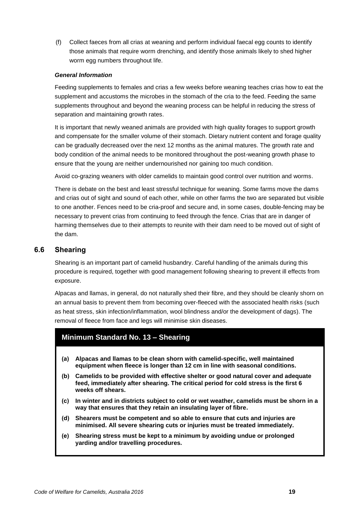(f) Collect faeces from all crias at weaning and perform individual faecal egg counts to identify those animals that require worm drenching, and identify those animals likely to shed higher worm egg numbers throughout life.

#### *General Information*

Feeding supplements to females and crias a few weeks before weaning teaches crias how to eat the supplement and accustoms the microbes in the stomach of the cria to the feed. Feeding the same supplements throughout and beyond the weaning process can be helpful in reducing the stress of separation and maintaining growth rates.

It is important that newly weaned animals are provided with high quality forages to support growth and compensate for the smaller volume of their stomach. Dietary nutrient content and forage quality can be gradually decreased over the next 12 months as the animal matures. The growth rate and body condition of the animal needs to be monitored throughout the post-weaning growth phase to ensure that the young are neither undernourished nor gaining too much condition.

Avoid co-grazing weaners with older camelids to maintain good control over nutrition and worms.

There is debate on the best and least stressful technique for weaning. Some farms move the dams and crias out of sight and sound of each other, while on other farms the two are separated but visible to one another. Fences need to be cria-proof and secure and, in some cases, double-fencing may be necessary to prevent crias from continuing to feed through the fence. Crias that are in danger of harming themselves due to their attempts to reunite with their dam need to be moved out of sight of the dam.

#### <span id="page-22-0"></span>**6.6 Shearing**

Shearing is an important part of camelid husbandry. Careful handling of the animals during this procedure is required, together with good management following shearing to prevent ill effects from exposure.

Alpacas and llamas, in general, do not naturally shed their fibre, and they should be cleanly shorn on an annual basis to prevent them from becoming over-fleeced with the associated health risks (such as heat stress, skin infection/inflammation, wool blindness and/or the development of dags). The removal of fleece from face and legs will minimise skin diseases.

#### <span id="page-22-1"></span>**Minimum Standard No. 13 – Shearing**

- **(a) Alpacas and llamas to be clean shorn with camelid-specific, well maintained equipment when fleece is longer than 12 cm in line with seasonal conditions.**
- **(b) Camelids to be provided with effective shelter or good natural cover and adequate feed, immediately after shearing. The critical period for cold stress is the first 6 weeks off shears.**
- **(c) In winter and in districts subject to cold or wet weather, camelids must be shorn in a way that ensures that they retain an insulating layer of fibre.**
- **(d) Shearers must be competent and so able to ensure that cuts and injuries are minimised. All severe shearing cuts or injuries must be treated immediately.**
- **(e) Shearing stress must be kept to a minimum by avoiding undue or prolonged yarding and/or travelling procedures.**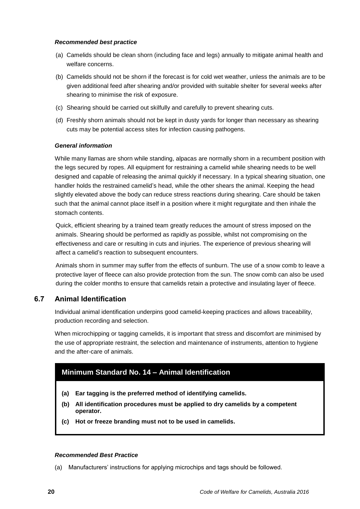#### *Recommended best practice*

- (a) Camelids should be clean shorn (including face and legs) annually to mitigate animal health and welfare concerns.
- (b) Camelids should not be shorn if the forecast is for cold wet weather, unless the animals are to be given additional feed after shearing and/or provided with suitable shelter for several weeks after shearing to minimise the risk of exposure.
- (c) Shearing should be carried out skilfully and carefully to prevent shearing cuts.
- (d) Freshly shorn animals should not be kept in dusty yards for longer than necessary as shearing cuts may be potential access sites for infection causing pathogens.

#### *General information*

While many llamas are shorn while standing, alpacas are normally shorn in a recumbent position with the legs secured by ropes. All equipment for restraining a camelid while shearing needs to be well designed and capable of releasing the animal quickly if necessary. In a typical shearing situation, one handler holds the restrained camelid's head, while the other shears the animal. Keeping the head slightly elevated above the body can reduce stress reactions during shearing. Care should be taken such that the animal cannot place itself in a position where it might regurgitate and then inhale the stomach contents.

Quick, efficient shearing by a trained team greatly reduces the amount of stress imposed on the animals. Shearing should be performed as rapidly as possible, whilst not compromising on the effectiveness and care or resulting in cuts and injuries. The experience of previous shearing will affect a camelid's reaction to subsequent encounters.

Animals shorn in summer may suffer from the effects of sunburn. The use of a snow comb to leave a protective layer of fleece can also provide protection from the sun. The snow comb can also be used during the colder months to ensure that camelids retain a protective and insulating layer of fleece.

### <span id="page-23-0"></span>**6.7 Animal Identification**

Individual animal identification underpins good camelid-keeping practices and allows traceability, production recording and selection.

When microchipping or tagging camelids, it is important that stress and discomfort are minimised by the use of appropriate restraint, the selection and maintenance of instruments, attention to hygiene and the after-care of animals.

## <span id="page-23-1"></span>**Minimum Standard No. 14 – Animal Identification**

- **(a) Ear tagging is the preferred method of identifying camelids.**
- **(b) All identification procedures must be applied to dry camelids by a competent operator.**
- **(c) Hot or freeze branding must not to be used in camelids.**

#### *Recommended Best Practice*

(a) Manufacturers' instructions for applying microchips and tags should be followed.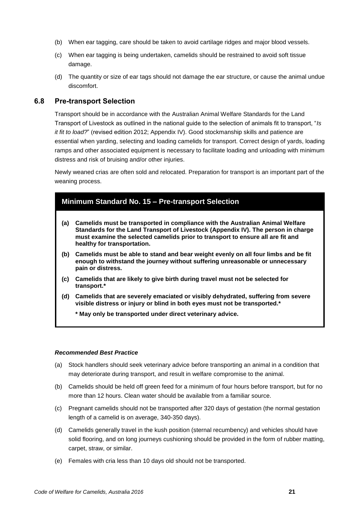- (b) When ear tagging, care should be taken to avoid cartilage ridges and major blood vessels.
- (c) When ear tagging is being undertaken, camelids should be restrained to avoid soft tissue damage.
- (d) The quantity or size of ear tags should not damage the ear structure, or cause the animal undue discomfort.

#### <span id="page-24-0"></span>**6.8 Pre-transport Selection**

Transport should be in accordance with the Australian Animal Welfare Standards for the Land Transport of Livestock as outlined in the national guide to the selection of animals fit to transport, "*Is it fit to load?*" (revised edition 2012; Appendix IV). Good stockmanship skills and patience are essential when yarding, selecting and loading camelids for transport. Correct design of yards, loading ramps and other associated equipment is necessary to facilitate loading and unloading with minimum distress and risk of bruising and/or other injuries.

Newly weaned crias are often sold and relocated. Preparation for transport is an important part of the weaning process.

## <span id="page-24-1"></span>**Minimum Standard No. 15 – Pre-transport Selection (a) Camelids must be transported in compliance with the Australian Animal Welfare Standards for the Land Transport of Livestock (Appendix IV). The person in charge must examine the selected camelids prior to transport to ensure all are fit and healthy for transportation. (b) Camelids must be able to stand and bear weight evenly on all four limbs and be fit enough to withstand the journey without suffering unreasonable or unnecessary pain or distress. (c) Camelids that are likely to give birth during travel must not be selected for transport.\* (d) Camelids that are severely emaciated or visibly dehydrated, suffering from severe visible distress or injury or blind in both eyes must not be transported.\* \* May only be transported under direct veterinary advice.**

- (a) Stock handlers should seek veterinary advice before transporting an animal in a condition that may deteriorate during transport, and result in welfare compromise to the animal.
- (b) Camelids should be held off green feed for a minimum of four hours before transport, but for no more than 12 hours. Clean water should be available from a familiar source.
- (c) Pregnant camelids should not be transported after 320 days of gestation (the normal gestation length of a camelid is on average, 340-350 days).
- (d) Camelids generally travel in the kush position (sternal recumbency) and vehicles should have solid flooring, and on long journeys cushioning should be provided in the form of rubber matting, carpet, straw, or similar.
- (e) Females with cria less than 10 days old should not be transported.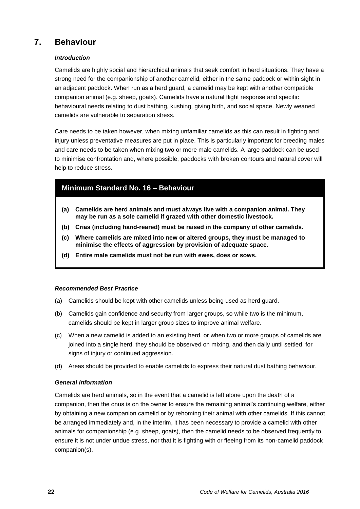## <span id="page-25-0"></span>**7. Behaviour**

### *Introduction*

Camelids are highly social and hierarchical animals that seek comfort in herd situations. They have a strong need for the companionship of another camelid, either in the same paddock or within sight in an adjacent paddock. When run as a herd guard, a camelid may be kept with another compatible companion animal (e.g. sheep, goats). Camelids have a natural flight response and specific behavioural needs relating to dust bathing, kushing, giving birth, and social space. Newly weaned camelids are vulnerable to separation stress.

Care needs to be taken however, when mixing unfamiliar camelids as this can result in fighting and injury unless preventative measures are put in place. This is particularly important for breeding males and care needs to be taken when mixing two or more male camelids. A large paddock can be used to minimise confrontation and, where possible, paddocks with broken contours and natural cover will help to reduce stress.

## <span id="page-25-1"></span>**Minimum Standard No. 16 – Behaviour**

- **(a) Camelids are herd animals and must always live with a companion animal. They may be run as a sole camelid if grazed with other domestic livestock.**
- **(b) Crias (including hand-reared) must be raised in the company of other camelids.**
- **(c) Where camelids are mixed into new or altered groups, they must be managed to minimise the effects of aggression by provision of adequate space.**
- **(d) Entire male camelids must not be run with ewes, does or sows.**

#### *Recommended Best Practice*

- (a) Camelids should be kept with other camelids unless being used as herd guard.
- (b) Camelids gain confidence and security from larger groups, so while two is the minimum, camelids should be kept in larger group sizes to improve animal welfare.
- (c) When a new camelid is added to an existing herd, or when two or more groups of camelids are joined into a single herd, they should be observed on mixing, and then daily until settled, for signs of injury or continued aggression.
- (d) Areas should be provided to enable camelids to express their natural dust bathing behaviour.

#### *General information*

Camelids are herd animals, so in the event that a camelid is left alone upon the death of a companion, then the onus is on the owner to ensure the remaining animal's continuing welfare, either by obtaining a new companion camelid or by rehoming their animal with other camelids. If this cannot be arranged immediately and, in the interim, it has been necessary to provide a camelid with other animals for companionship (e.g. sheep, goats), then the camelid needs to be observed frequently to ensure it is not under undue stress, nor that it is fighting with or fleeing from its non-camelid paddock companion(s).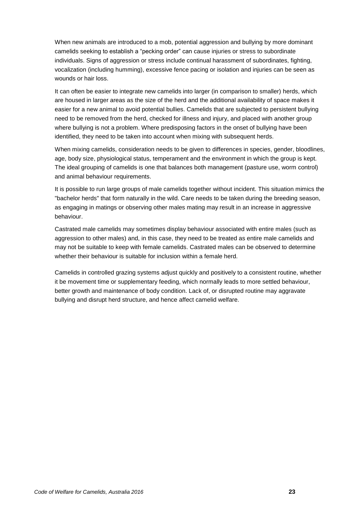When new animals are introduced to a mob, potential aggression and bullying by more dominant camelids seeking to establish a "pecking order" can cause injuries or stress to subordinate individuals. Signs of aggression or stress include continual harassment of subordinates, fighting, vocalization (including humming), excessive fence pacing or isolation and injuries can be seen as wounds or hair loss.

It can often be easier to integrate new camelids into larger (in comparison to smaller) herds, which are housed in larger areas as the size of the herd and the additional availability of space makes it easier for a new animal to avoid potential bullies. Camelids that are subjected to persistent bullying need to be removed from the herd, checked for illness and injury, and placed with another group where bullying is not a problem. Where predisposing factors in the onset of bullying have been identified, they need to be taken into account when mixing with subsequent herds.

When mixing camelids, consideration needs to be given to differences in species, gender, bloodlines, age, body size, physiological status, temperament and the environment in which the group is kept. The ideal grouping of camelids is one that balances both management (pasture use, worm control) and animal behaviour requirements.

It is possible to run large groups of male camelids together without incident. This situation mimics the "bachelor herds" that form naturally in the wild. Care needs to be taken during the breeding season, as engaging in matings or observing other males mating may result in an increase in aggressive behaviour.

Castrated male camelids may sometimes display behaviour associated with entire males (such as aggression to other males) and, in this case, they need to be treated as entire male camelids and may not be suitable to keep with female camelids. Castrated males can be observed to determine whether their behaviour is suitable for inclusion within a female herd.

Camelids in controlled grazing systems adjust quickly and positively to a consistent routine, whether it be movement time or supplementary feeding, which normally leads to more settled behaviour, better growth and maintenance of body condition. Lack of, or disrupted routine may aggravate bullying and disrupt herd structure, and hence affect camelid welfare.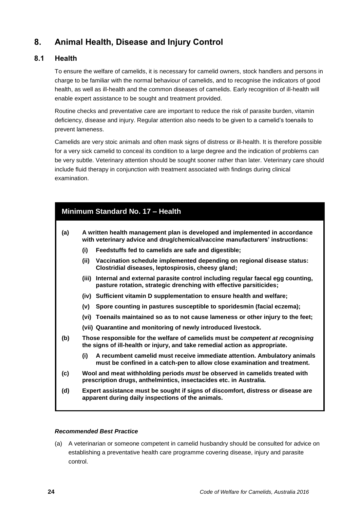## <span id="page-27-0"></span>**8. Animal Health, Disease and Injury Control**

### <span id="page-27-1"></span>**8.1 Health**

To ensure the welfare of camelids, it is necessary for camelid owners, stock handlers and persons in charge to be familiar with the normal behaviour of camelids, and to recognise the indicators of good health, as well as ill-health and the common diseases of camelids. Early recognition of ill-health will enable expert assistance to be sought and treatment provided.

Routine checks and preventative care are important to reduce the risk of parasite burden, vitamin deficiency, disease and injury. Regular attention also needs to be given to a camelid's toenails to prevent lameness.

Camelids are very stoic animals and often mask signs of distress or ill-health. It is therefore possible for a very sick camelid to conceal its condition to a large degree and the indication of problems can be very subtle. Veterinary attention should be sought sooner rather than later. Veterinary care should include fluid therapy in conjunction with treatment associated with findings during clinical examination.

<span id="page-27-2"></span>

| Minimum Standard No. 17 - Health |                                                                                                                                                               |  |  |
|----------------------------------|---------------------------------------------------------------------------------------------------------------------------------------------------------------|--|--|
| (a)                              | A written health management plan is developed and implemented in accordance<br>with veterinary advice and drug/chemical/vaccine manufacturers' instructions:  |  |  |
|                                  | (i)<br>Feedstuffs fed to camelids are safe and digestible;                                                                                                    |  |  |
|                                  | (iii)<br>Vaccination schedule implemented depending on regional disease status:<br>Clostridial diseases, leptospirosis, cheesy gland;                         |  |  |
|                                  | Internal and external parasite control including regular faecal egg counting,<br>(iii)<br>pasture rotation, strategic drenching with effective parsiticides;  |  |  |
|                                  | (iv) Sufficient vitamin D supplementation to ensure health and welfare;                                                                                       |  |  |
|                                  | Spore counting in pastures susceptible to sporidesmin (facial eczema);<br>(v)                                                                                 |  |  |
|                                  | (vi) Toenails maintained so as to not cause lameness or other injury to the feet;                                                                             |  |  |
|                                  | (vii) Quarantine and monitoring of newly introduced livestock.                                                                                                |  |  |
| (b)                              | Those responsible for the welfare of camelids must be competent at recognising<br>the signs of ill-health or injury, and take remedial action as appropriate. |  |  |
|                                  | (i)<br>A recumbent camelid must receive immediate attention. Ambulatory animals<br>must be confined in a catch-pen to allow close examination and treatment.  |  |  |
| (c)                              | Wool and meat withholding periods must be observed in camelids treated with<br>prescription drugs, anthelmintics, insectacides etc. in Australia.             |  |  |
| (d)                              | Expert assistance must be sought if signs of discomfort, distress or disease are<br>apparent during daily inspections of the animals.                         |  |  |
|                                  |                                                                                                                                                               |  |  |

#### *Recommended Best Practice*

(a) A veterinarian or someone competent in camelid husbandry should be consulted for advice on establishing a preventative health care programme covering disease, injury and parasite control.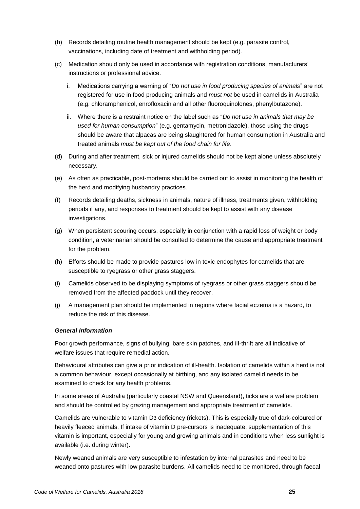- (b) Records detailing routine health management should be kept (e.g. parasite control, vaccinations, including date of treatment and withholding period).
- (c) Medication should only be used in accordance with registration conditions, manufacturers' instructions or professional advice.
	- i. Medications carrying a warning of "*Do not use in food producing species of animals*" are not registered for use in food producing animals and *must not* be used in camelids in Australia (e.g. chloramphenicol, enrofloxacin and all other fluoroquinolones, phenylbutazone).
	- ii. Where there is a restraint notice on the label such as "*Do not use in animals that may be used for human consumption*" (e.g. gentamycin, metronidazole), those using the drugs should be aware that alpacas are being slaughtered for human consumption in Australia and treated animals *must be kept out of the food chain for life*.
- (d) During and after treatment, sick or injured camelids should not be kept alone unless absolutely necessary.
- (e) As often as practicable, post-mortems should be carried out to assist in monitoring the health of the herd and modifying husbandry practices.
- (f) Records detailing deaths, sickness in animals, nature of illness, treatments given, withholding periods if any, and responses to treatment should be kept to assist with any disease investigations.
- (g) When persistent scouring occurs, especially in conjunction with a rapid loss of weight or body condition, a veterinarian should be consulted to determine the cause and appropriate treatment for the problem.
- (h) Efforts should be made to provide pastures low in toxic endophytes for camelids that are susceptible to ryegrass or other grass staggers.
- (i) Camelids observed to be displaying symptoms of ryegrass or other grass staggers should be removed from the affected paddock until they recover.
- (j) A management plan should be implemented in regions where facial eczema is a hazard, to reduce the risk of this disease.

#### *General Information*

Poor growth performance, signs of bullying, bare skin patches, and ill-thrift are all indicative of welfare issues that require remedial action.

Behavioural attributes can give a prior indication of ill-health. Isolation of camelids within a herd is not a common behaviour, except occasionally at birthing, and any isolated camelid needs to be examined to check for any health problems.

In some areas of Australia (particularly coastal NSW and Queensland), ticks are a welfare problem and should be controlled by grazing management and appropriate treatment of camelids.

Camelids are vulnerable to vitamin D3 deficiency (rickets). This is especially true of dark-coloured or heavily fleeced animals. If intake of vitamin D pre-cursors is inadequate, supplementation of this vitamin is important, especially for young and growing animals and in conditions when less sunlight is available (i.e. during winter).

Newly weaned animals are very susceptible to infestation by internal parasites and need to be weaned onto pastures with low parasite burdens. All camelids need to be monitored, through faecal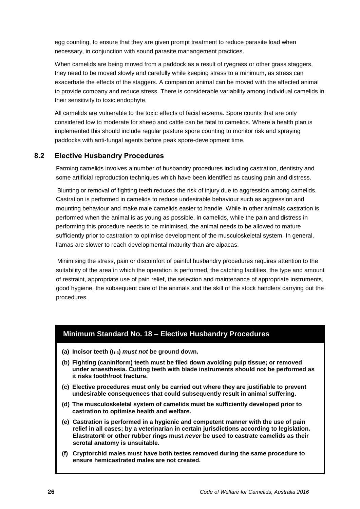egg counting, to ensure that they are given prompt treatment to reduce parasite load when necessary, in conjunction with sound parasite manangement practices.

When camelids are being moved from a paddock as a result of ryegrass or other grass staggers, they need to be moved slowly and carefully while keeping stress to a minimum, as stress can exacerbate the effects of the staggers. A companion animal can be moved with the affected animal to provide company and reduce stress. There is considerable variability among individual camelids in their sensitivity to toxic endophyte.

All camelids are vulnerable to the toxic effects of facial eczema. Spore counts that are only considered low to moderate for sheep and cattle can be fatal to camelids. Where a health plan is implemented this should include regular pasture spore counting to monitor risk and spraying paddocks with anti-fungal agents before peak spore-development time.

## <span id="page-29-0"></span>**8.2 Elective Husbandry Procedures**

Farming camelids involves a number of husbandry procedures including castration, dentistry and some artificial reproduction techniques which have been identified as causing pain and distress.

Blunting or removal of fighting teeth reduces the risk of injury due to aggression among camelids. Castration is performed in camelids to reduce undesirable behaviour such as aggression and mounting behaviour and make male camelids easier to handle. While in other animals castration is performed when the animal is as young as possible, in camelids, while the pain and distress in performing this procedure needs to be minimised, the animal needs to be allowed to mature sufficiently prior to castration to optimise development of the musculoskeletal system. In general, llamas are slower to reach developmental maturity than are alpacas.

Minimising the stress, pain or discomfort of painful husbandry procedures requires attention to the suitability of the area in which the operation is performed, the catching facilities, the type and amount of restraint, appropriate use of pain relief, the selection and maintenance of appropriate instruments, good hygiene, the subsequent care of the animals and the skill of the stock handlers carrying out the procedures.

### <span id="page-29-1"></span>**Minimum Standard No. 18 – Elective Husbandry Procedures**

- **(a) Incisor teeth (I1-3)** *must not* **be ground down.**
- **(b) Fighting (caniniform) teeth must be filed down avoiding pulp tissue; or removed under anaesthesia. Cutting teeth with blade instruments should not be performed as it risks tooth/root fracture.**
- **(c) Elective procedures must only be carried out where they are justifiable to prevent undesirable consequences that could subsequently result in animal suffering.**
- **(d) The musculoskeletal system of camelids must be sufficiently developed prior to castration to optimise health and welfare.**
- **(e) Castration is performed in a hygienic and competent manner with the use of pain relief in all cases; by a veterinarian in certain jurisdictions according to legislation. Elastrator® or other rubber rings must** *never* **be used to castrate camelids as their scrotal anatomy is unsuitable.**
- **(f) Cryptorchid males must have both testes removed during the same procedure to ensure hemicastrated males are not created.**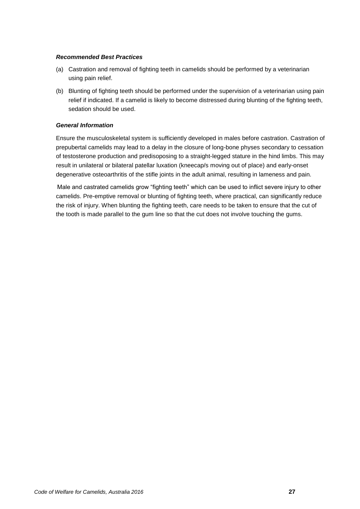#### *Recommended Best Practices*

- (a) Castration and removal of fighting teeth in camelids should be performed by a veterinarian using pain relief.
- (b) Blunting of fighting teeth should be performed under the supervision of a veterinarian using pain relief if indicated. If a camelid is likely to become distressed during blunting of the fighting teeth, sedation should be used.

#### *General Information*

Ensure the musculoskeletal system is sufficiently developed in males before castration. Castration of prepubertal camelids may lead to a delay in the closure of long-bone physes secondary to cessation of testosterone production and predisoposing to a straight-legged stature in the hind limbs. This may result in unilateral or bilateral patellar luxation (kneecap/s moving out of place) and early-onset degenerative osteoarthritis of the stifle joints in the adult animal, resulting in lameness and pain.

Male and castrated camelids grow "fighting teeth" which can be used to inflict severe injury to other camelids. Pre-emptive removal or blunting of fighting teeth, where practical, can significantly reduce the risk of injury. When blunting the fighting teeth, care needs to be taken to ensure that the cut of the tooth is made parallel to the gum line so that the cut does not involve touching the gums.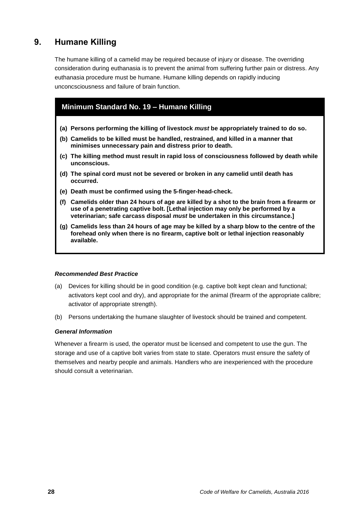## <span id="page-31-0"></span>**9. Humane Killing**

The humane killing of a camelid may be required because of injury or disease. The overriding consideration during euthanasia is to prevent the animal from suffering further pain or distress. Any euthanasia procedure must be humane. Humane killing depends on rapidly inducing unconcsciousness and failure of brain function.

## <span id="page-31-1"></span>**Minimum Standard No. 19 – Humane Killing**

- **(a) Persons performing the killing of livestock** *must* **be appropriately trained to do so.**
- **(b) Camelids to be killed must be handled, restrained, and killed in a manner that minimises unnecessary pain and distress prior to death.**
- **(c) The killing method must result in rapid loss of consciousness followed by death while unconscious.**
- **(d) The spinal cord must not be severed or broken in any camelid until death has occurred.**
- **(e) Death must be confirmed using the 5-finger-head-check.**
- **(f) Camelids older than 24 hours of age are killed by a shot to the brain from a firearm or use of a penetrating captive bolt. [Lethal injection may only be performed by a veterinarian; safe carcass disposal** *must* **be undertaken in this circumstance.]**
- **(g) Camelids less than 24 hours of age may be killed by a sharp blow to the centre of the forehead only when there is no firearm, captive bolt or lethal injection reasonably available.**

#### *Recommended Best Practice*

- (a) Devices for killing should be in good condition (e.g. captive bolt kept clean and functional; activators kept cool and dry), and appropriate for the animal (firearm of the appropriate calibre; activator of appropriate strength).
- (b) Persons undertaking the humane slaughter of livestock should be trained and competent.

#### *General Information*

Whenever a firearm is used, the operator must be licensed and competent to use the gun. The storage and use of a captive bolt varies from state to state. Operators must ensure the safety of themselves and nearby people and animals. Handlers who are inexperienced with the procedure should consult a veterinarian.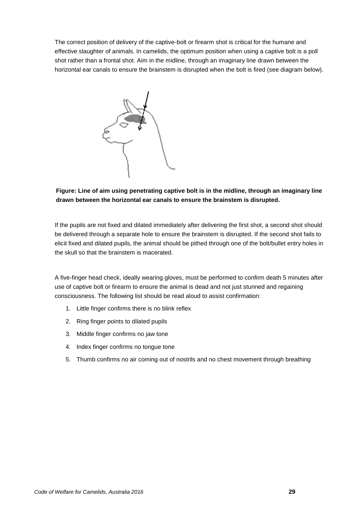The correct position of delivery of the captive-bolt or firearm shot is critical for the humane and effective slaughter of animals. In camelids, the optimum position when using a captive bolt is a poll shot rather than a frontal shot. Aim in the midline, through an imaginary line drawn between the horizontal ear canals to ensure the brainstem is disrupted when the bolt is fired (see diagram below).



### **Figure: Line of aim using penetrating captive bolt is in the midline, through an imaginary line drawn between the horizontal ear canals to ensure the brainstem is disrupted.**

If the pupils are not fixed and dilated immediately after delivering the first shot, a second shot should be delivered through a separate hole to ensure the brainstem is disrupted. If the second shot fails to elicit fixed and dilated pupils, the animal should be pithed through one of the bolt/bullet entry holes in the skull so that the brainstem is macerated.

A five-finger head check, ideally wearing gloves, must be performed to confirm death 5 minutes after use of captive bolt or firearm to ensure the animal is dead and not just stunned and regaining consciousness. The following list should be read aloud to assist confirmation:

- 1. Little finger confirms there is no blink reflex
- 2. Ring finger points to dilated pupils
- 3. Middle finger confirms no jaw tone
- 4. Index finger confirms no tongue tone
- 5. Thumb confirms no air coming out of nostrils and no chest movement through breathing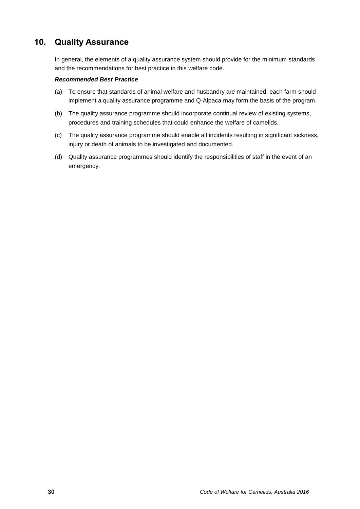## <span id="page-33-0"></span>**10. Quality Assurance**

In general, the elements of a quality assurance system should provide for the minimum standards and the recommendations for best practice in this welfare code.

- (a) To ensure that standards of animal welfare and husbandry are maintained, each farm should implement a quality assurance programme and Q-Alpaca may form the basis of the program.
- (b) The quality assurance programme should incorporate continual review of existing systems, procedures and training schedules that could enhance the welfare of camelids.
- (c) The quality assurance programme should enable all incidents resulting in significant sickness, injury or death of animals to be investigated and documented.
- (d) Quality assurance programmes should identify the responsibilities of staff in the event of an emergency.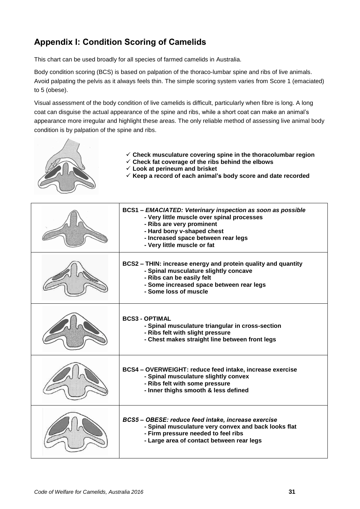## <span id="page-34-0"></span>**Appendix I: Condition Scoring of Camelids**

This chart can be used broadly for all species of farmed camelids in Australia.

Body condition scoring (BCS) is based on palpation of the thoraco-lumbar spine and ribs of live animals. Avoid palpating the pelvis as it always feels thin. The simple scoring system varies from Score 1 (emaciated) to 5 (obese).

Visual assessment of the body condition of live camelids is difficult, particularly when fibre is long. A long coat can disguise the actual appearance of the spine and ribs, while a short coat can make an animal's appearance more irregular and highlight these areas. The only reliable method of assessing live animal body condition is by palpation of the spine and ribs.



- **Check fat coverage of the ribs behind the elbows**
	- **Look at perineum and brisket**
	- **Keep a record of each animal's body score and date recorded**

| <b>BCS1 - EMACIATED: Veterinary inspection as soon as possible</b><br>- Very little muscle over spinal processes<br>- Ribs are very prominent<br>- Hard bony v-shaped chest<br>- Increased space between rear legs<br>- Very little muscle or fat |
|---------------------------------------------------------------------------------------------------------------------------------------------------------------------------------------------------------------------------------------------------|
| BCS2 - THIN: increase energy and protein quality and quantity<br>- Spinal musculature slightly concave<br>- Ribs can be easily felt<br>- Some increased space between rear legs<br>- Some loss of muscle                                          |
| <b>BCS3 - OPTIMAL</b><br>- Spinal musculature triangular in cross-section<br>- Ribs felt with slight pressure<br>- Chest makes straight line between front legs                                                                                   |
| BCS4 - OVERWEIGHT: reduce feed intake, increase exercise<br>- Spinal musculature slightly convex<br>- Ribs felt with some pressure<br>- Inner thighs smooth & less defined                                                                        |
| BCS5-OBESE: reduce feed intake, increase exercise<br>- Spinal musculature very convex and back looks flat<br>- Firm pressure needed to feel ribs<br>- Large area of contact between rear legs                                                     |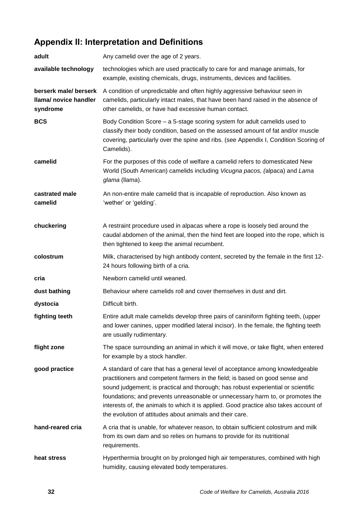## <span id="page-35-0"></span>**Appendix II: Interpretation and Definitions**

| adult                                                      | Any camelid over the age of 2 years.                                                                                                                                                                                                                                                                                                                                                                                                                                                      |
|------------------------------------------------------------|-------------------------------------------------------------------------------------------------------------------------------------------------------------------------------------------------------------------------------------------------------------------------------------------------------------------------------------------------------------------------------------------------------------------------------------------------------------------------------------------|
| available technology                                       | technologies which are used practically to care for and manage animals, for<br>example, existing chemicals, drugs, instruments, devices and facilities.                                                                                                                                                                                                                                                                                                                                   |
| berserk male/ berserk<br>Ilama/ novice handler<br>syndrome | A condition of unpredictable and often highly aggressive behaviour seen in<br>camelids, particularly intact males, that have been hand raised in the absence of<br>other camelids, or have had excessive human contact.                                                                                                                                                                                                                                                                   |
| <b>BCS</b>                                                 | Body Condition Score - a 5-stage scoring system for adult camelids used to<br>classify their body condition, based on the assessed amount of fat and/or muscle<br>covering, particularly over the spine and ribs. (see Appendix I, Condition Scoring of<br>Camelids).                                                                                                                                                                                                                     |
| camelid                                                    | For the purposes of this code of welfare a camelid refers to domesticated New<br>World (South American) camelids including Vicugna pacos, (alpaca) and Lama<br>glama (llama).                                                                                                                                                                                                                                                                                                             |
| castrated male<br>camelid                                  | An non-entire male camelid that is incapable of reproduction. Also known as<br>'wether' or 'gelding'.                                                                                                                                                                                                                                                                                                                                                                                     |
| chuckering                                                 | A restraint procedure used in alpacas where a rope is loosely tied around the<br>caudal abdomen of the animal, then the hind feet are looped into the rope, which is<br>then tightened to keep the animal recumbent.                                                                                                                                                                                                                                                                      |
| colostrum                                                  | Milk, characterised by high antibody content, secreted by the female in the first 12-<br>24 hours following birth of a cria.                                                                                                                                                                                                                                                                                                                                                              |
| cria                                                       | Newborn camelid until weaned.                                                                                                                                                                                                                                                                                                                                                                                                                                                             |
| dust bathing                                               | Behaviour where camelids roll and cover themselves in dust and dirt.                                                                                                                                                                                                                                                                                                                                                                                                                      |
| dystocia                                                   | Difficult birth.                                                                                                                                                                                                                                                                                                                                                                                                                                                                          |
| fighting teeth                                             | Entire adult male camelids develop three pairs of caniniform fighting teeth, (upper<br>and lower canines, upper modified lateral incisor). In the female, the fighting teeth<br>are usually rudimentary.                                                                                                                                                                                                                                                                                  |
| flight zone                                                | The space surrounding an animal in which it will move, or take flight, when entered<br>for example by a stock handler.                                                                                                                                                                                                                                                                                                                                                                    |
| good practice                                              | A standard of care that has a general level of acceptance among knowledgeable<br>practitioners and competent farmers in the field; is based on good sense and<br>sound judgement; is practical and thorough; has robust experiential or scientific<br>foundations; and prevents unreasonable or unnecessary harm to, or promotes the<br>interests of, the animals to which it is applied. Good practice also takes account of<br>the evolution of attitudes about animals and their care. |
| hand-reared cria                                           | A cria that is unable, for whatever reason, to obtain sufficient colostrum and milk<br>from its own dam and so relies on humans to provide for its nutritional<br>requirements.                                                                                                                                                                                                                                                                                                           |
| heat stress                                                | Hyperthermia brought on by prolonged high air temperatures, combined with high<br>humidity, causing elevated body temperatures.                                                                                                                                                                                                                                                                                                                                                           |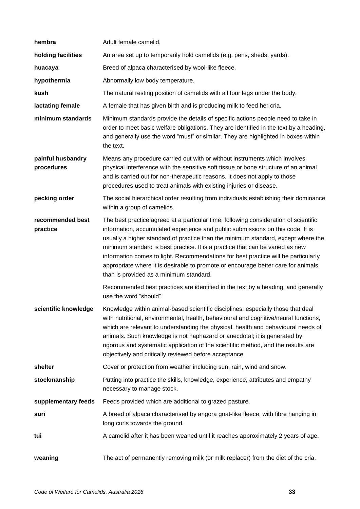| hembra                          | Adult female camelid.                                                                                                                                                                                                                                                                                                                                                                                                                                                                                                                                              |
|---------------------------------|--------------------------------------------------------------------------------------------------------------------------------------------------------------------------------------------------------------------------------------------------------------------------------------------------------------------------------------------------------------------------------------------------------------------------------------------------------------------------------------------------------------------------------------------------------------------|
| holding facilities              | An area set up to temporarily hold camelids (e.g. pens, sheds, yards).                                                                                                                                                                                                                                                                                                                                                                                                                                                                                             |
| huacaya                         | Breed of alpaca characterised by wool-like fleece.                                                                                                                                                                                                                                                                                                                                                                                                                                                                                                                 |
| hypothermia                     | Abnormally low body temperature.                                                                                                                                                                                                                                                                                                                                                                                                                                                                                                                                   |
| kush                            | The natural resting position of camelids with all four legs under the body.                                                                                                                                                                                                                                                                                                                                                                                                                                                                                        |
| lactating female                | A female that has given birth and is producing milk to feed her cria.                                                                                                                                                                                                                                                                                                                                                                                                                                                                                              |
| minimum standards               | Minimum standards provide the details of specific actions people need to take in<br>order to meet basic welfare obligations. They are identified in the text by a heading,<br>and generally use the word "must" or similar. They are highlighted in boxes within<br>the text.                                                                                                                                                                                                                                                                                      |
| painful husbandry<br>procedures | Means any procedure carried out with or without instruments which involves<br>physical interference with the sensitive soft tissue or bone structure of an animal<br>and is carried out for non-therapeutic reasons. It does not apply to those<br>procedures used to treat animals with existing injuries or disease.                                                                                                                                                                                                                                             |
| pecking order                   | The social hierarchical order resulting from individuals establishing their dominance<br>within a group of camelids.                                                                                                                                                                                                                                                                                                                                                                                                                                               |
| recommended best<br>practice    | The best practice agreed at a particular time, following consideration of scientific<br>information, accumulated experience and public submissions on this code. It is<br>usually a higher standard of practice than the minimum standard, except where the<br>minimum standard is best practice. It is a practice that can be varied as new<br>information comes to light. Recommendations for best practice will be particularly<br>appropriate where it is desirable to promote or encourage better care for animals<br>than is provided as a minimum standard. |
|                                 | Recommended best practices are identified in the text by a heading, and generally<br>use the word "should".                                                                                                                                                                                                                                                                                                                                                                                                                                                        |
| scientific knowledge            | Knowledge within animal-based scientific disciplines, especially those that deal<br>with nutritional, environmental, health, behavioural and cognitive/neural functions,<br>which are relevant to understanding the physical, health and behavioural needs of<br>animals. Such knowledge is not haphazard or anecdotal; it is generated by<br>rigorous and systematic application of the scientific method, and the results are<br>objectively and critically reviewed before acceptance.                                                                          |
| shelter                         | Cover or protection from weather including sun, rain, wind and snow.                                                                                                                                                                                                                                                                                                                                                                                                                                                                                               |
| stockmanship                    | Putting into practice the skills, knowledge, experience, attributes and empathy<br>necessary to manage stock.                                                                                                                                                                                                                                                                                                                                                                                                                                                      |
| supplementary feeds             | Feeds provided which are additional to grazed pasture.                                                                                                                                                                                                                                                                                                                                                                                                                                                                                                             |
| suri                            | A breed of alpaca characterised by angora goat-like fleece, with fibre hanging in<br>long curls towards the ground.                                                                                                                                                                                                                                                                                                                                                                                                                                                |
| tui                             | A camelid after it has been weaned until it reaches approximately 2 years of age.                                                                                                                                                                                                                                                                                                                                                                                                                                                                                  |
| weaning                         | The act of permanently removing milk (or milk replacer) from the diet of the cria.                                                                                                                                                                                                                                                                                                                                                                                                                                                                                 |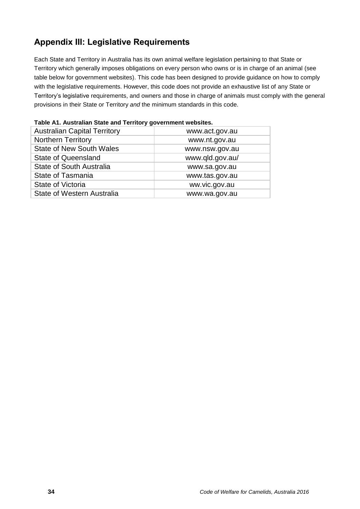## <span id="page-37-0"></span>**Appendix III: Legislative Requirements**

Each State and Territory in Australia has its own animal welfare legislation pertaining to that State or Territory which generally imposes obligations on every person who owns or is in charge of an animal (see table below for government websites). This code has been designed to provide guidance on how to comply with the legislative requirements. However, this code does not provide an exhaustive list of any State or Territory's legislative requirements, and owners and those in charge of animals must comply with the general provisions in their State or Territory *and* the minimum standards in this code.

| <b>Australian Capital Territory</b> | www.act.gov.au  |
|-------------------------------------|-----------------|
| <b>Northern Territory</b>           | www.nt.gov.au   |
| <b>State of New South Wales</b>     | www.nsw.gov.au  |
| <b>State of Queensland</b>          | www.qld.gov.au/ |
| State of South Australia            | www.sa.gov.au   |
| <b>State of Tasmania</b>            | www.tas.gov.au  |
| State of Victoria                   | ww.vic.gov.au   |
| <b>State of Western Australia</b>   | www.wa.gov.au   |

|  |  | Table A1. Australian State and Territory government websites. |  |
|--|--|---------------------------------------------------------------|--|
|  |  |                                                               |  |